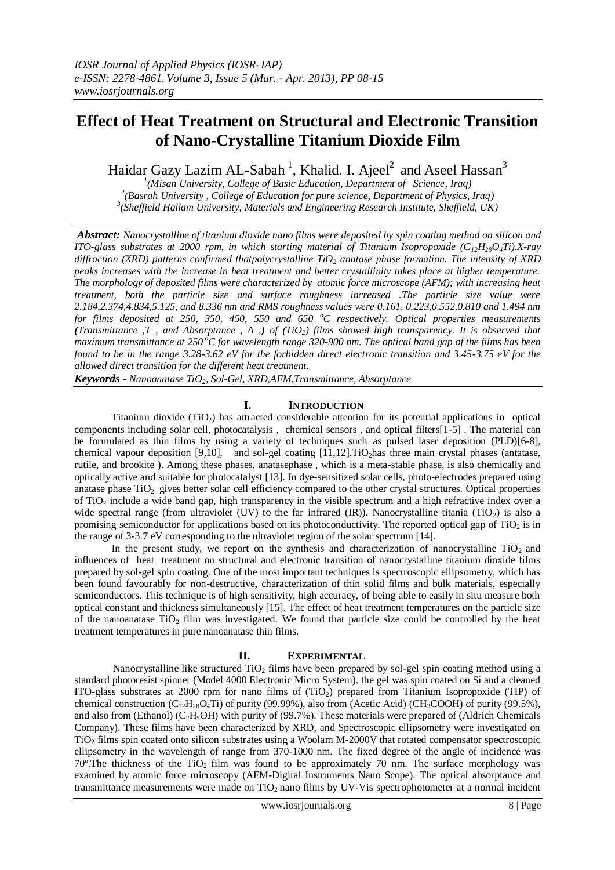# **Effect of Heat Treatment on Structural and Electronic Transition of Nano-Crystalline Titanium Dioxide Film**

Haidar Gazy Lazim AL-Sabah<sup>1</sup>, Khalid. I. Ajeel<sup>2</sup> and Aseel Hassan<sup>3</sup>

*1 (Misan University, College of Basic Education, Department of Science, Iraq) 2 (Basrah University , College of Education for pure science, Department of Physics, Iraq) 3 (Sheffield Hallam University, Materials and Engineering Research Institute, Sheffield, UK)* 

*Abstract: Nanocrystalline of titanium dioxide nano films were deposited by spin coating method on silicon and ITO-glass substrates at 2000 rpm, in which starting material of Titanium Isopropoxide (C12H28O4Ti).X-ray diffraction (XRD) patterns confirmed thatpolycrystalline TiO<sup>2</sup> anatase phase formation. The intensity of XRD peaks increases with the increase in heat treatment and better crystallinity takes place at higher temperature. The morphology of deposited films were characterized by atomic force microscope (AFM); with increasing heat treatment, both the particle size and surface roughness increased .The particle size value were 2.184,2.374,4.834,5.125, and 8.336 nm and RMS roughness values were 0.161, 0.223,0.552,0.810 and 1.494 nm for films deposited at 250, 350, 450, 550 and 650 <sup>o</sup>C respectively. Optical properties measurements (Transmittance ,T , and Absorptance , A ,) of (TiO2) films showed high transparency. It is observed that maximum transmittance at 250 <sup>o</sup>C for wavelength range 320-900 nm. The optical band gap of the films has been found to be in the range 3.28-3.62 eV for the forbidden direct electronic transition and 3.45-3.75 eV for the allowed direct transition for the different heat treatment.*

*Keywords - Nanoanatase TiO2, Sol-Gel, XRD,AFM,Transmittance, Absorptance*

### **I. INTRODUCTION**

Titanium dioxide  $(TiO<sub>2</sub>)$  has attracted considerable attention for its potential applications in optical components including solar cell, photocatalysis , chemical sensors , and optical filters[1-5] . The material can be formulated as thin films by using a variety of techniques such as pulsed laser deposition (PLD)[6-8], chemical vapour deposition [9,10], and sol-gel coating [11,12]. TiO<sub>2</sub>has three main crystal phases (antatase, rutile, and brookite ). Among these phases, anatasephase , which is a meta-stable phase, is also chemically and optically active and suitable for photocatalyst [13]. In dye-sensitized solar cells, photo-electrodes prepared using anatase phase  $TiO<sub>2</sub>$  gives better solar cell efficiency compared to the other crystal structures. Optical properties of TiO<sup>2</sup> include a wide band gap, high transparency in the visible spectrum and a high refractive index over a wide spectral range (from ultraviolet (UV) to the far infrared (IR)). Nanocrystalline titania (TiO<sub>2</sub>) is also a promising semiconductor for applications based on its photoconductivity. The reported optical gap of  $TiO<sub>2</sub>$  is in the range of 3-3.7 eV corresponding to the ultraviolet region of the solar spectrum [14].

In the present study, we report on the synthesis and characterization of nanocrystalline  $TiO<sub>2</sub>$  and influences of heat treatment on structural and electronic transition of nanocrystalline titanium dioxide films prepared by sol-gel spin coating. One of the most important techniques is spectroscopic ellipsometry, which has been found favourably for non-destructive, characterization of thin solid films and bulk materials, especially semiconductors. This technique is of high sensitivity, high accuracy, of being able to easily in situ measure both optical constant and thickness simultaneously [15]. The effect of heat treatment temperatures on the particle size of the nanoanatase TiO<sub>2</sub> film was investigated. We found that particle size could be controlled by the heat treatment temperatures in pure nanoanatase thin films.

## **II. EXPERIMENTAL**

Nanocrystalline like structured  $TiO<sub>2</sub>$  films have been prepared by sol-gel spin coating method using a standard photoresist spinner (Model 4000 Electronic Micro System). the gel was spin coated on Si and a cleaned ITO-glass substrates at 2000 rpm for nano films of (TiO2) prepared from Titanium Isopropoxide (TIP) of chemical construction (C<sub>12</sub>H<sub>28</sub>O<sub>4</sub>Ti) of purity (99.99%), also from (Acetic Acid) (CH<sub>3</sub>COOH) of purity (99.5%), and also from (Ethanol) ( $C_2H_5OH$ ) with purity of (99.7%). These materials were prepared of (Aldrich Chemicals Company). These films have been characterized by XRD, and Spectroscopic ellipsometry were investigated on TiO<sub>2</sub> films spin coated onto silicon substrates using a Woolam M-2000V that rotated compensator spectroscopic ellipsometry in the wavelength of range from 370-1000 nm. The fixed degree of the angle of incidence was  $70^{\circ}$ . The thickness of the TiO<sub>2</sub> film was found to be approximately 70 nm. The surface morphology was examined by atomic force microscopy (AFM-Digital Instruments Nano Scope). The optical absorptance and transmittance measurements were made on TiO<sub>2</sub> nano films by UV-Vis spectrophotometer at a normal incident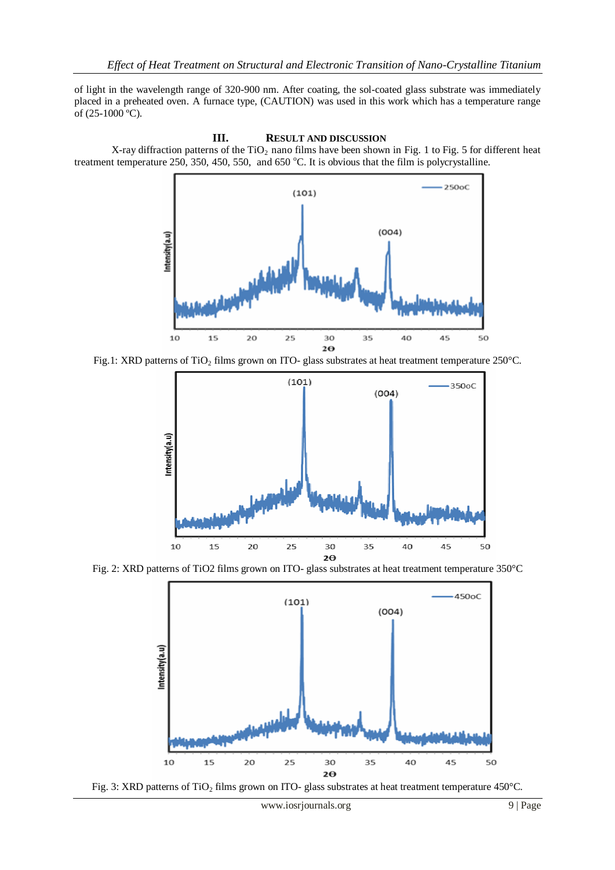of light in the wavelength range of 320-900 nm. After coating, the sol-coated glass substrate was immediately placed in a preheated oven. A furnace type, (CAUTION) was used in this work which has a temperature range of (25-1000 ºC).





Fig.1: XRD patterns of TiO<sub>2</sub> films grown on ITO- glass substrates at heat treatment temperature 250°C.



Fig. 2: XRD patterns of TiO2 films grown on ITO- glass substrates at heat treatment temperature 350°C



Fig. 3: XRD patterns of TiO<sub>2</sub> films grown on ITO- glass substrates at heat treatment temperature 450°C.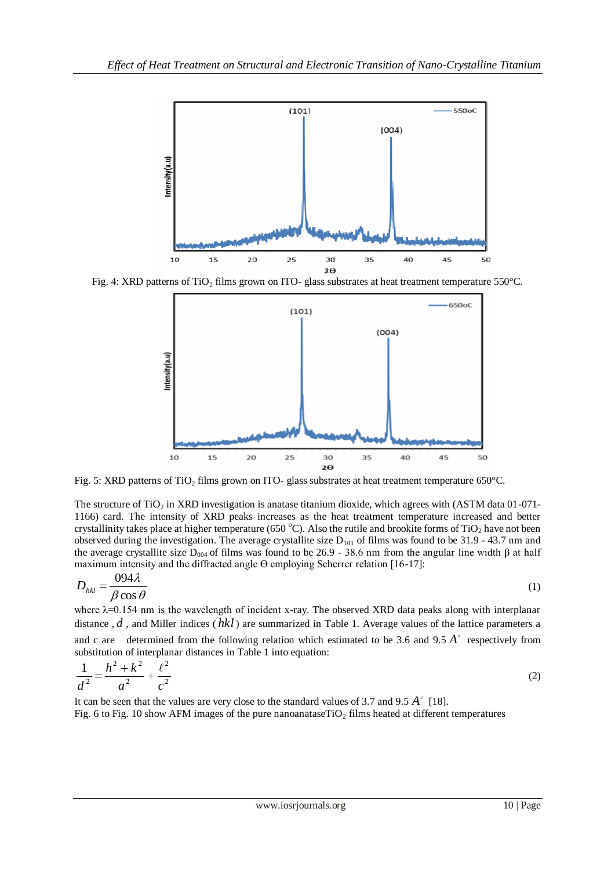

Fig. 4: XRD patterns of TiO<sub>2</sub> films grown on ITO- glass substrates at heat treatment temperature 550°C.



Fig. 5: XRD patterns of TiO<sub>2</sub> films grown on ITO- glass substrates at heat treatment temperature 650°C.

The structure of TiO<sub>2</sub> in XRD investigation is anatase titanium dioxide, which agrees with (ASTM data  $01$ -071-1166) card. The intensity of XRD peaks increases as the heat treatment temperature increased and better crystallinity takes place at higher temperature (650 °C). Also the rutile and brookite forms of TiO<sub>2</sub> have not been observed during the investigation. The average crystallite size  $D_{101}$  of films was found to be 31.9 - 43.7 nm and the average crystallite size D<sub>004</sub> of films was found to be 26.9 - 38.6 nm from the angular line width β at half maximum intensity and the diffracted angle  $\Theta$  employing Scherrer relation [16-17]:

$$
D_{hkl} = \frac{0.094\lambda}{\beta \cos \theta} \tag{1}
$$

where λ=0.154 nm is the wavelength of incident x-ray. The observed XRD data peaks along with interplanar distance, d, and Miller indices (hkl) are summarized in Table 1. Average values of the lattice parameters a and c are determined from the following relation which estimated to be 3.6 and  $9.5 \text{ Å}^{\circ}$  respectively from substitution of interplanar distances in Table 1 into equation:

$$
\frac{1}{d^2} = \frac{h^2 + k^2}{a^2} + \frac{\ell^2}{c^2}
$$
 (2)

It can be seen that the values are very close to the standard values of 3.7 and 9.5 *A* [18]. Fig. 6 to Fig. 10 show AFM images of the pure nanoanataseTiO<sub>2</sub> films heated at different temperatures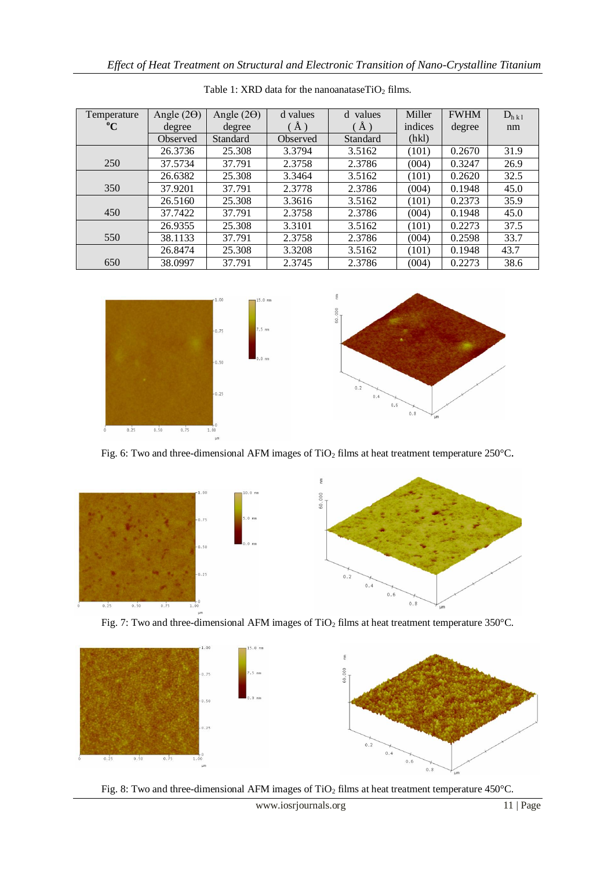| Temperature | Angle $(2\Theta)$ | Angle $(2\Theta)$ | d values    | d values | Miller  | <b>FWHM</b> | $D_{h k1}$ |
|-------------|-------------------|-------------------|-------------|----------|---------|-------------|------------|
| $\rm ^{o}C$ | degree            | degree            | $\rm \AA$ ) | $\AA$ )  | indices | degree      | nm         |
|             | Observed          | Standard          | Observed    | Standard | (hkl)   |             |            |
|             | 26.3736           | 25.308            | 3.3794      | 3.5162   | (101)   | 0.2670      | 31.9       |
| 250         | 37.5734           | 37.791            | 2.3758      | 2.3786   | (004)   | 0.3247      | 26.9       |
|             | 26.6382           | 25.308            | 3.3464      | 3.5162   | (101)   | 0.2620      | 32.5       |
| 350         | 37.9201           | 37.791            | 2.3778      | 2.3786   | (004)   | 0.1948      | 45.0       |
|             | 26.5160           | 25.308            | 3.3616      | 3.5162   | (101)   | 0.2373      | 35.9       |
| 450         | 37.7422           | 37.791            | 2.3758      | 2.3786   | (004)   | 0.1948      | 45.0       |
|             | 26.9355           | 25.308            | 3.3101      | 3.5162   | (101)   | 0.2273      | 37.5       |
| 550         | 38.1133           | 37.791            | 2.3758      | 2.3786   | (004)   | 0.2598      | 33.7       |
|             | 26.8474           | 25.308            | 3.3208      | 3.5162   | (101)   | 0.1948      | 43.7       |
| 650         | 38.0997           | 37.791            | 2.3745      | 2.3786   | (004)   | 0.2273      | 38.6       |

Table 1: XRD data for the nanoanataseTiO<sub>2</sub> films.



Fig. 6: Two and three-dimensional AFM images of TiO<sub>2</sub> films at heat treatment temperature 250°C.



Fig. 7: Two and three-dimensional AFM images of TiO<sub>2</sub> films at heat treatment temperature 350°C.



Fig. 8: Two and three-dimensional AFM images of TiO<sub>2</sub> films at heat treatment temperature 450°C.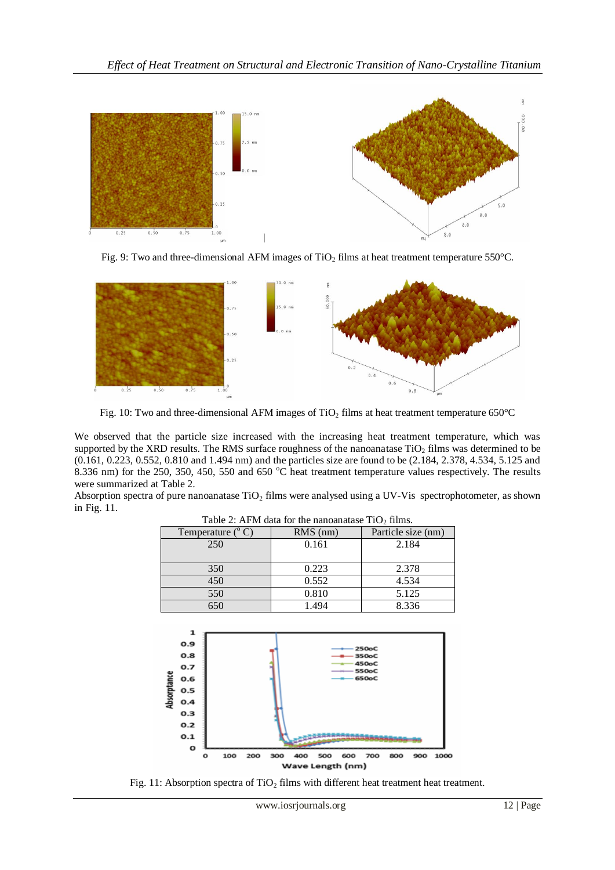

Fig. 9: Two and three-dimensional AFM images of TiO<sub>2</sub> films at heat treatment temperature 550°C.



Fig. 10: Two and three-dimensional AFM images of TiO<sub>2</sub> films at heat treatment temperature 650 $^{\circ}$ C

We observed that the particle size increased with the increasing heat treatment temperature, which was supported by the XRD results. The RMS surface roughness of the nanoanatase  $TiO<sub>2</sub>$  films was determined to be (0.161, 0.223, 0.552, 0.810 and 1.494 nm) and the particles size are found to be (2.184, 2.378, 4.534, 5.125 and 8.336 nm) for the 250, 350, 450, 550 and 650 °C heat treatment temperature values respectively. The results were summarized at Table 2.

Absorption spectra of pure nanoanatase  $TiO<sub>2</sub>$  films were analysed using a UV-Vis spectrophotometer, as shown in Fig. 11.

| Twore 2. The Indiana for the manoamatase TTO / Hillis. |            |                    |  |  |  |  |  |
|--------------------------------------------------------|------------|--------------------|--|--|--|--|--|
| Temperature $(^{\circ}C)$                              | $RMS$ (nm) | Particle size (nm) |  |  |  |  |  |
| 250                                                    | 0.161      | 2.184              |  |  |  |  |  |
|                                                        |            |                    |  |  |  |  |  |
| 350                                                    | 0.223      | 2.378              |  |  |  |  |  |
| 450                                                    | 0.552      | 4.534              |  |  |  |  |  |
| 550                                                    | 0.810      | 5.125              |  |  |  |  |  |
| 650                                                    | 1.494      | 8.336              |  |  |  |  |  |

Table 2: AFM data for the nanoanatase  $TiO<sub>2</sub>$  films.



Fig. 11: Absorption spectra of  $TiO<sub>2</sub>$  films with different heat treatment heat treatment.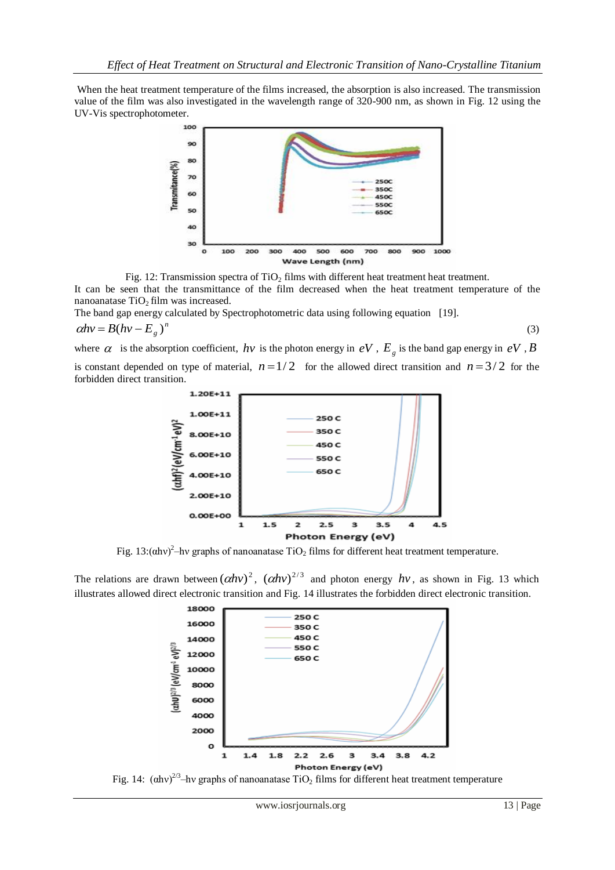When the heat treatment temperature of the films increased, the absorption is also increased. The transmission value of the film was also investigated in the wavelength range of 320-900 nm, as shown in Fig. 12 using the UV-Vis spectrophotometer.



Fig. 12: Transmission spectra of  $TiO<sub>2</sub>$  films with different heat treatment heat treatment.

It can be seen that the transmittance of the film decreased when the heat treatment temperature of the nanoanatase  $TiO<sub>2</sub> film$  was increased.

The band gap energy calculated by Spectrophotometric data using following equation [19]. *n*

$$
\alpha h v = B(hv - E_g)^n \tag{3}
$$

where  $\alpha$  is the absorption coefficient,  $h\nu$  is the photon energy in  $eV$ ,  $E_g$  is the band gap energy in  $eV$ ,  $B$ is constant depended on type of material,  $n = 1/2$  for the allowed direct transition and  $n = 3/2$  for the forbidden direct transition.





Fig. 13: $(\text{ahv})^2$ -hv graphs of nanoanatase TiO<sub>2</sub> films for different heat treatment temperature.

The relations are drawn between  $(\alpha h\nu)^2$ ,  $(\alpha h\nu)^{2/3}$  and photon energy  $h\nu$ , as shown in Fig. 13 which illustrates allowed direct electronic transition and Fig. 14 illustrates the forbidden direct electronic transition.



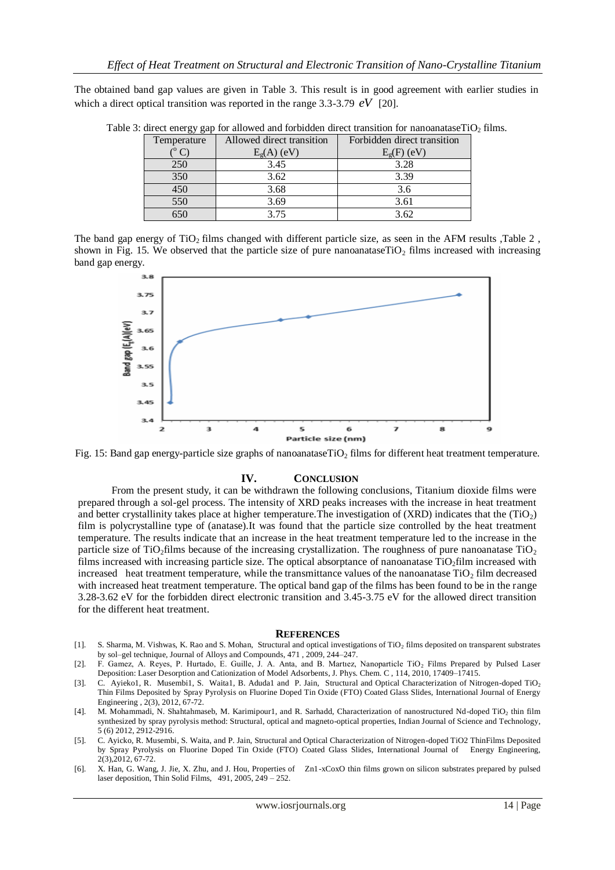The obtained band gap values are given in Table 3. This result is in good agreement with earlier studies in which a direct optical transition was reported in the range  $3.3-3.79$   $eV$  [20].

| Temperature |     | Allowed direct transition | Forbidden direct transition |  |
|-------------|-----|---------------------------|-----------------------------|--|
|             |     | $E_{\sigma}(A)$ (eV)      | $E_{\sigma}(F)$ (eV)        |  |
|             | 250 | 3.45                      | 3.28                        |  |
|             | 350 | 3.62                      | 3.39                        |  |
|             |     | 3.68                      | 3.6                         |  |
|             | 550 | 3.69                      | 3.61                        |  |
|             |     | 3.75                      | 3.62                        |  |

Table 3: direct energy gap for allowed and forbidden direct transition for nanoanatase $TiO<sub>2</sub>$  films.

The band gap energy of  $TiO<sub>2</sub>$  films changed with different particle size, as seen in the AFM results ,Table 2, shown in Fig. 15. We observed that the particle size of pure nanoanatase $TiO<sub>2</sub>$  films increased with increasing band gap energy.



Fig. 15: Band gap energy-particle size graphs of nanoanatase $TiO<sub>2</sub>$  films for different heat treatment temperature.

#### **IV. CONCLUSION**

From the present study, it can be withdrawn the following conclusions, Titanium dioxide films were prepared through a sol-gel process. The intensity of XRD peaks increases with the increase in heat treatment and better crystallinity takes place at higher temperature. The investigation of (XRD) indicates that the  $(TiO<sub>2</sub>)$ film is polycrystalline type of (anatase).It was found that the particle size controlled by the heat treatment temperature. The results indicate that an increase in the heat treatment temperature led to the increase in the particle size of TiO<sub>2</sub>films because of the increasing crystallization. The roughness of pure nanoanatase TiO<sub>2</sub> films increased with increasing particle size. The optical absorptance of nanoanatase TiO2film increased with increased heat treatment temperature, while the transmittance values of the nanoanatase  $TiO<sub>2</sub>$  film decreased with increased heat treatment temperature. The optical band gap of the films has been found to be in the range 3.28-3.62 eV for the forbidden direct electronic transition and 3.45-3.75 eV for the allowed direct transition for the different heat treatment.

#### **REFERENCES**

- [1]. S. Sharma, M. Vishwas, K. Rao and S. Mohan, Structural and optical investigations of TiO<sup>2</sup> films deposited on transparent substrates by sol–gel technique, Journal of Alloys and Compounds, 471 , 2009, 244–247.
- [2]. F. Gamez, A. Reyes, P. Hurtado, E. Guille, J. A. Anta, and B. Martiez, Nanoparticle TiO<sub>2</sub> Films Prepared by Pulsed Laser Deposition: Laser Desorption and Cationization of Model Adsorbents, J. Phys. Chem. C , 114, 2010, 17409–17415.
- [3]. C. Ayieko1, R. Musembi1, S. Waita1, B. Aduda1 and P. Jain, Structural and Optical Characterization of Nitrogen-doped TiO<sup>2</sup> Thin Films Deposited by Spray Pyrolysis on Fluorine Doped Tin Oxide (FTO) Coated Glass Slides, International Journal of Energy Engineering , 2(3), 2012, 67-72.
- [4]. M. Mohammadi, N. Shahtahmaseb, M. Karimipour1, and R. Sarhadd, Characterization of nanostructured Nd-doped TiO<sub>2</sub> thin film synthesized by spray pyrolysis method: Structural, optical and magneto-optical properties, Indian Journal of Science and Technology, 5 (6) 2012, 2912-2916.
- [5]. C. Ayicko, R. Musembi, S. Waita, and P. Jain, Structural and Optical Characterization of Nitrogen-doped TiO2 ThinFilms Deposited by Spray Pyrolysis on Fluorine Doped Tin Oxide (FTO) Coated Glass Slides, International Journal of Energy Engineering, 2(3),2012, 67-72.
- [6]. X. Han, G. Wang, J. Jie, X. Zhu, and J. Hou, Properties of Zn1-xCoxO thin films grown on silicon substrates prepared by pulsed laser deposition, Thin Solid Films, 491, 2005, 249 – 252.